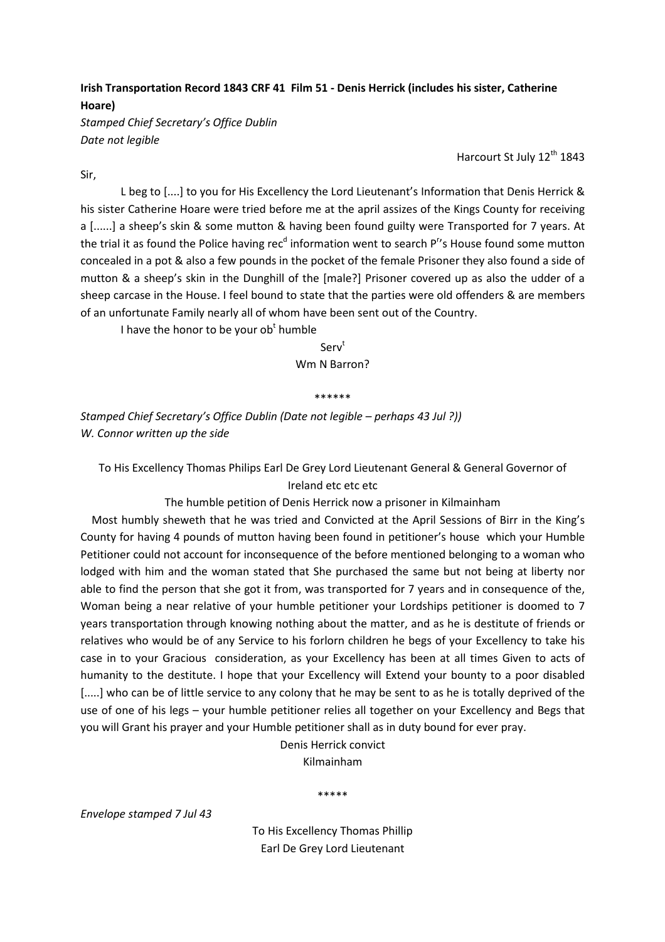## Irish Transportation Record 1843 CRF 41 Film 51 - Denis Herrick (includes his sister, Catherine Hoare)

Stamped Chief Secretary's Office Dublin Date not legible

Harcourt St July 12<sup>th</sup> 1843

Sir,

 L beg to [....] to you for His Excellency the Lord Lieutenant's Information that Denis Herrick & his sister Catherine Hoare were tried before me at the april assizes of the Kings County for receiving a [......] a sheep's skin & some mutton & having been found guilty were Transported for 7 years. At the trial it as found the Police having rec<sup>d</sup> information went to search P<sup>r</sup>'s House found some mutton concealed in a pot & also a few pounds in the pocket of the female Prisoner they also found a side of mutton & a sheep's skin in the Dunghill of the [male?] Prisoner covered up as also the udder of a sheep carcase in the House. I feel bound to state that the parties were old offenders & are members of an unfortunate Family nearly all of whom have been sent out of the Country.

I have the honor to be your ob<sup>t</sup> humble

Serv<sup>t</sup> Wm N Barron?

\*\*\*\*\*\*

Stamped Chief Secretary's Office Dublin (Date not legible – perhaps 43 Jul ?)) W. Connor written up the side

To His Excellency Thomas Philips Earl De Grey Lord Lieutenant General & General Governor of Ireland etc etc etc

The humble petition of Denis Herrick now a prisoner in Kilmainham

 Most humbly sheweth that he was tried and Convicted at the April Sessions of Birr in the King's County for having 4 pounds of mutton having been found in petitioner's house which your Humble Petitioner could not account for inconsequence of the before mentioned belonging to a woman who lodged with him and the woman stated that She purchased the same but not being at liberty nor able to find the person that she got it from, was transported for 7 years and in consequence of the, Woman being a near relative of your humble petitioner your Lordships petitioner is doomed to 7 years transportation through knowing nothing about the matter, and as he is destitute of friends or relatives who would be of any Service to his forlorn children he begs of your Excellency to take his case in to your Gracious consideration, as your Excellency has been at all times Given to acts of humanity to the destitute. I hope that your Excellency will Extend your bounty to a poor disabled [.....] who can be of little service to any colony that he may be sent to as he is totally deprived of the use of one of his legs – your humble petitioner relies all together on your Excellency and Begs that you will Grant his prayer and your Humble petitioner shall as in duty bound for ever pray.

> Denis Herrick convict Kilmainham

> > \*\*\*\*\*

Envelope stamped 7 Jul 43

To His Excellency Thomas Phillip Earl De Grey Lord Lieutenant